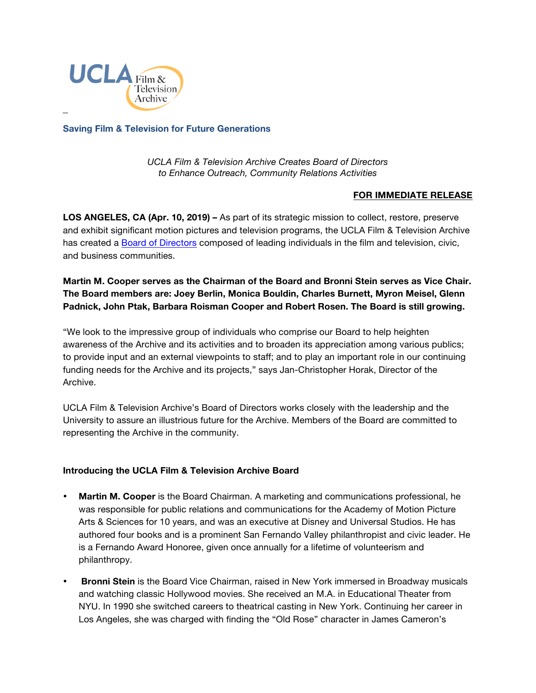

**Saving Film & Television for Future Generations**

*UCLA Film & Television Archive Creates Board of Directors to Enhance Outreach, Community Relations Activities*

## **FOR IMMEDIATE RELEASE**

**LOS ANGELES, CA (Apr. 10, 2019) –** As part of its strategic mission to collect, restore, preserve and exhibit significant motion pictures and television programs, the UCLA Film & Television Archive has created a [Board of Directors](https://www.cinema.ucla.edu/support/archive-board) composed of leading individuals in the film and television, civic, and business communities.

## **Martin M. Cooper serves as the Chairman of the Board and Bronni Stein serves as Vice Chair. The Board members are: Joey Berlin, Monica Bouldin, Charles Burnett, Myron Meisel, Glenn Padnick, John Ptak, Barbara Roisman Cooper and Robert Rosen. The Board is still growing.**

"We look to the impressive group of individuals who comprise our Board to help heighten awareness of the Archive and its activities and to broaden its appreciation among various publics; to provide input and an external viewpoints to staff; and to play an important role in our continuing funding needs for the Archive and its projects," says Jan-Christopher Horak, Director of the Archive.

UCLA Film & Television Archive's Board of Directors works closely with the leadership and the University to assure an illustrious future for the Archive. Members of the Board are committed to representing the Archive in the community.

## **Introducing the UCLA Film & Television Archive Board**

- **Martin M. Cooper** is the Board Chairman. A marketing and communications professional, he was responsible for public relations and communications for the Academy of Motion Picture Arts & Sciences for 10 years, and was an executive at Disney and Universal Studios. He has authored four books and is a prominent San Fernando Valley philanthropist and civic leader. He is a Fernando Award Honoree, given once annually for a lifetime of volunteerism and philanthropy.
- **Bronni Stein** is the Board Vice Chairman, raised in New York immersed in Broadway musicals and watching classic Hollywood movies. She received an M.A. in Educational Theater from NYU. In 1990 she switched careers to theatrical casting in New York. Continuing her career in Los Angeles, she was charged with finding the "Old Rose" character in James Cameron's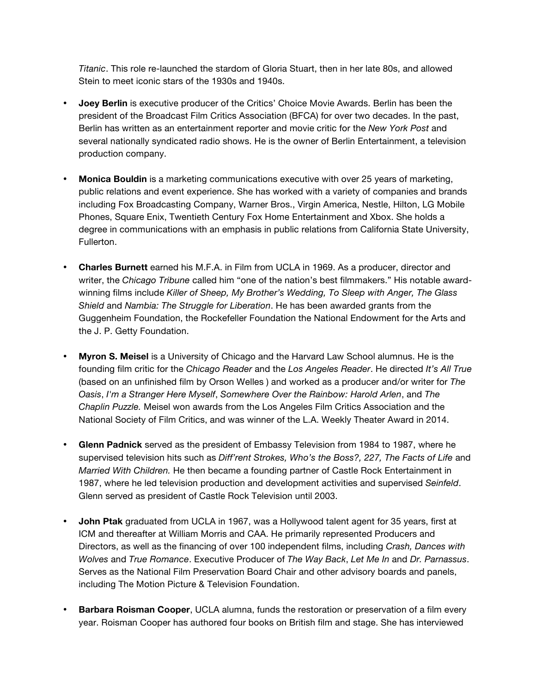*Titanic*. This role re-launched the stardom of Gloria Stuart, then in her late 80s, and allowed Stein to meet iconic stars of the 1930s and 1940s.

- **Joey Berlin** is executive producer of the Critics' Choice Movie Awards. Berlin has been the president of the Broadcast Film Critics Association (BFCA) for over two decades. In the past, Berlin has written as an entertainment reporter and movie critic for the *New York Post* and several nationally syndicated radio shows. He is the owner of Berlin Entertainment, a television production company.
- **Monica Bouldin** is a marketing communications executive with over 25 years of marketing, public relations and event experience. She has worked with a variety of companies and brands including Fox Broadcasting Company, Warner Bros., Virgin America, Nestle, Hilton, LG Mobile Phones, Square Enix, Twentieth Century Fox Home Entertainment and Xbox. She holds a degree in communications with an emphasis in public relations from California State University, Fullerton.
- **Charles Burnett** earned his M.F.A. in Film from UCLA in 1969. As a producer, director and writer, the *Chicago Tribune* called him "one of the nation's best filmmakers." His notable awardwinning films include *Killer of Sheep, My Brother's Wedding, To Sleep with Anger, The Glass Shield* and *Nambia: The Struggle for Liberation*. He has been awarded grants from the Guggenheim Foundation, the Rockefeller Foundation the National Endowment for the Arts and the J. P. Getty Foundation.
- **Myron S. Meisel** is a University of Chicago and the Harvard Law School alumnus. He is the founding film critic for the *Chicago Reader* and the *Los Angeles Reader*. He directed *It's All True*  (based on an unfinished film by Orson Welles ) and worked as a producer and/or writer for *The Oasis*, *I'm a Stranger Here Myself*, *Somewhere Over the Rainbow: Harold Arlen*, and *The Chaplin Puzzle.* Meisel won awards from the Los Angeles Film Critics Association and the National Society of Film Critics, and was winner of the L.A. Weekly Theater Award in 2014.
- **Glenn Padnick** served as the president of Embassy Television from 1984 to 1987, where he supervised television hits such as *Diff'rent Strokes, Who's the Boss?, 227, The Facts of Life* and *Married With Children.* He then became a founding partner of Castle Rock Entertainment in 1987, where he led television production and development activities and supervised *Seinfeld*. Glenn served as president of Castle Rock Television until 2003.
- **John Ptak** graduated from UCLA in 1967, was a Hollywood talent agent for 35 years, first at ICM and thereafter at William Morris and CAA. He primarily represented Producers and Directors, as well as the financing of over 100 independent films, including *Crash, Dances with Wolves* and *True Romance*. Executive Producer of *The Way Back*, *Let Me In* and *Dr. Parnassus*. Serves as the National Film Preservation Board Chair and other advisory boards and panels, including The Motion Picture & Television Foundation.
- **Barbara Roisman Cooper**, UCLA alumna, funds the restoration or preservation of a film every year. Roisman Cooper has authored four books on British film and stage. She has interviewed